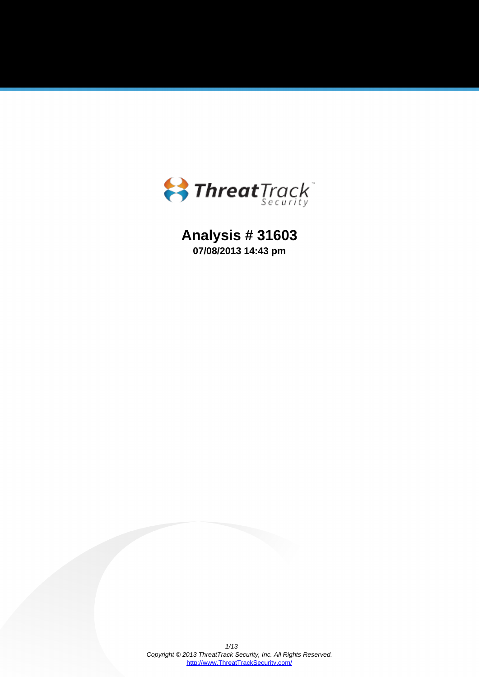

**Analysis # 31603 07/08/2013 14:43 pm**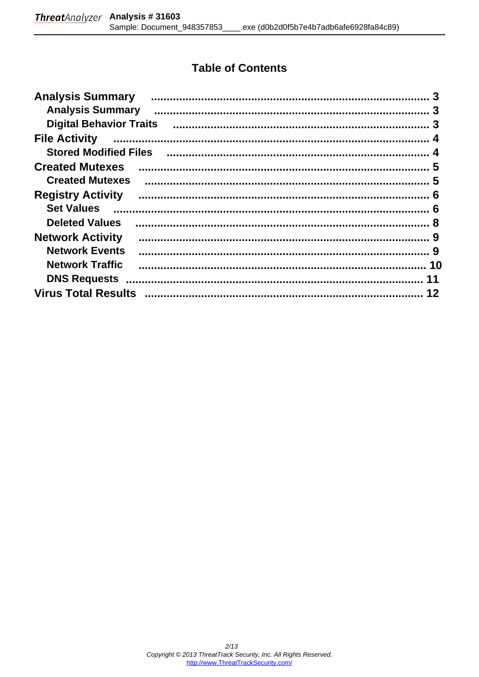# **Table of Contents**

| <b>Analysis Summary</b>        |    |
|--------------------------------|----|
| <b>Analysis Summary</b>        |    |
| <b>Digital Behavior Traits</b> |    |
| <b>File Activity</b>           |    |
| <b>Stored Modified Files</b>   |    |
| <b>Created Mutexes</b>         |    |
| <b>Created Mutexes</b>         |    |
| <b>Registry Activity</b>       |    |
| <b>Set Values</b>              |    |
| <b>Deleted Values</b>          |    |
| <b>Network Activity</b>        |    |
| <b>Network Events</b>          |    |
| <b>Network Traffic</b>         |    |
| <b>DNS Requests</b>            | 11 |
| <b>Virus Total Results</b>     | 12 |
|                                |    |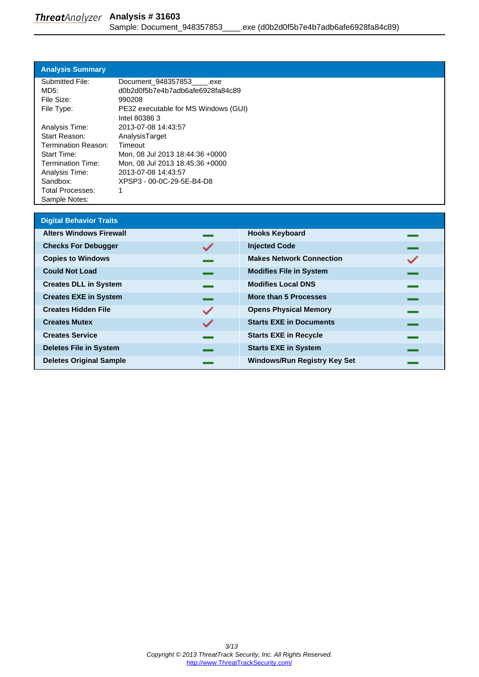### <span id="page-2-0"></span>**Analysis Summary**

| Submitted File:         | Document 948357853 .exe              |
|-------------------------|--------------------------------------|
| MD5:                    | d0b2d0f5b7e4b7adb6afe6928fa84c89     |
| File Size:              | 990208                               |
| File Type:              | PE32 executable for MS Windows (GUI) |
|                         | Intel 80386 3                        |
| Analysis Time:          | 2013-07-08 14:43:57                  |
| Start Reason:           | AnalysisTarget                       |
| Termination Reason:     | Timeout                              |
| <b>Start Time:</b>      | Mon, 08 Jul 2013 18:44:36 +0000      |
| Termination Time:       | Mon, 08 Jul 2013 18:45:36 +0000      |
| Analysis Time:          | 2013-07-08 14:43:57                  |
| Sandbox:                | XPSP3 - 00-0C-29-5E-B4-D8            |
| <b>Total Processes:</b> | 1                                    |
| Sample Notes:           |                                      |

| <b>Digital Behavior Traits</b> |   |                                     |  |
|--------------------------------|---|-------------------------------------|--|
| <b>Alters Windows Firewall</b> |   | <b>Hooks Keyboard</b>               |  |
| <b>Checks For Debugger</b>     |   | <b>Injected Code</b>                |  |
| <b>Copies to Windows</b>       |   | <b>Makes Network Connection</b>     |  |
| <b>Could Not Load</b>          |   | <b>Modifies File in System</b>      |  |
| <b>Creates DLL in System</b>   |   | <b>Modifies Local DNS</b>           |  |
| <b>Creates EXE in System</b>   |   | More than 5 Processes               |  |
| <b>Creates Hidden File</b>     | ✓ | <b>Opens Physical Memory</b>        |  |
| <b>Creates Mutex</b>           | ✓ | <b>Starts EXE in Documents</b>      |  |
| <b>Creates Service</b>         |   | <b>Starts EXE in Recycle</b>        |  |
| <b>Deletes File in System</b>  |   | <b>Starts EXE in System</b>         |  |
| <b>Deletes Original Sample</b> |   | <b>Windows/Run Registry Key Set</b> |  |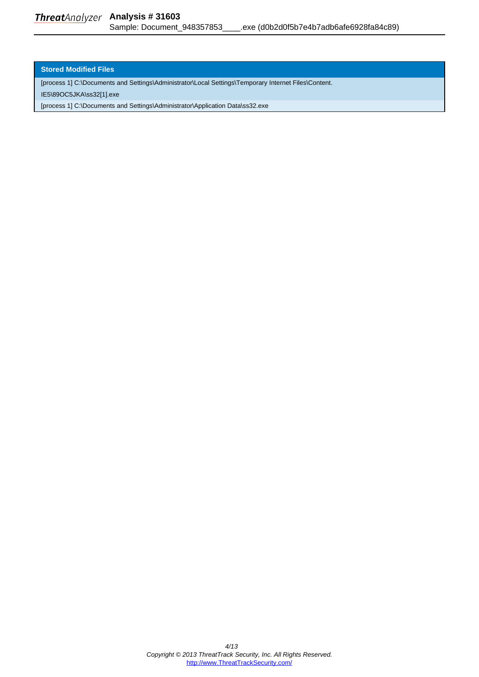#### <span id="page-3-0"></span>**Stored Modified Files**

[process 1] C:\Documents and Settings\Administrator\Local Settings\Temporary Internet Files\Content.

IE5\89OC5JKA\ss32[1].exe

[process 1] C:\Documents and Settings\Administrator\Application Data\ss32.exe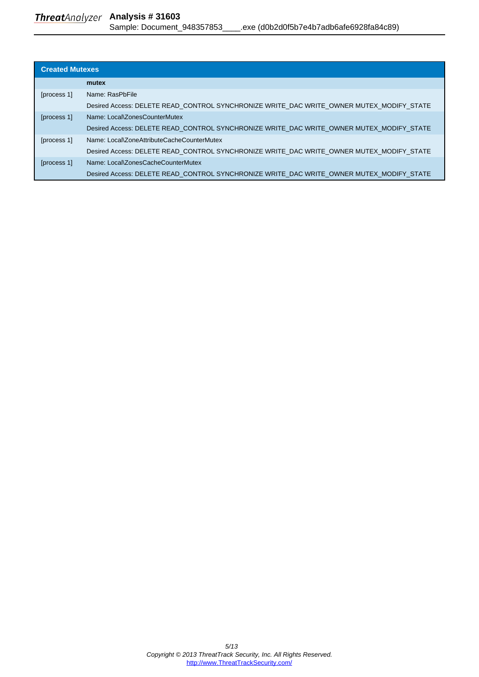<span id="page-4-0"></span>

| <b>Created Mutexes</b> |                                                                                          |  |
|------------------------|------------------------------------------------------------------------------------------|--|
|                        | mutex                                                                                    |  |
| [process 1]            | Name: RasPbFile                                                                          |  |
|                        | Desired Access: DELETE READ_CONTROL SYNCHRONIZE WRITE_DAC WRITE_OWNER MUTEX_MODIFY_STATE |  |
| [process 1]            | Name: Local\ZonesCounterMutex                                                            |  |
|                        | Desired Access: DELETE READ CONTROL SYNCHRONIZE WRITE DAC WRITE OWNER MUTEX MODIFY STATE |  |
| [process 1]            | Name: Local\ZoneAttributeCacheCounterMutex                                               |  |
|                        | Desired Access: DELETE READ CONTROL SYNCHRONIZE WRITE DAC WRITE OWNER MUTEX MODIFY STATE |  |
| [process 1]            | Name: Local\ZonesCacheCounterMutex                                                       |  |
|                        | Desired Access: DELETE READ CONTROL SYNCHRONIZE WRITE DAC WRITE OWNER MUTEX MODIFY STATE |  |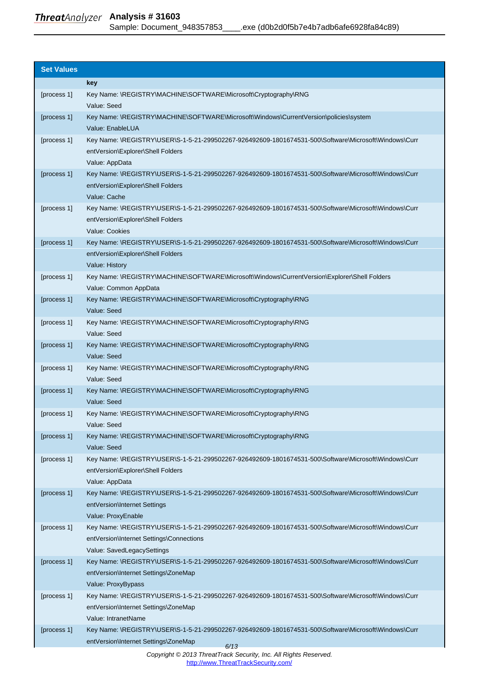# <span id="page-5-0"></span>**Analysis # 31603** Sample: Document\_948357853\_\_\_\_.exe (d0b2d0f5b7e4b7adb6afe6928fa84c89)

| <b>Set Values</b> |                                                                                                                                                  |
|-------------------|--------------------------------------------------------------------------------------------------------------------------------------------------|
|                   | key                                                                                                                                              |
| [process 1]       | Key Name: \REGISTRY\MACHINE\SOFTWARE\Microsoft\Cryptography\RNG<br>Value: Seed                                                                   |
| [process 1]       | Key Name: \REGISTRY\MACHINE\SOFTWARE\Microsoft\Windows\CurrentVersion\policies\system<br>Value: EnableLUA                                        |
| [process 1]       | Key Name: \REGISTRY\USER\S-1-5-21-299502267-926492609-1801674531-500\Software\Microsoft\Windows\Curr                                             |
|                   | entVersion\Explorer\Shell Folders                                                                                                                |
| [process 1]       | Value: AppData<br>Key Name: \REGISTRY\USER\S-1-5-21-299502267-926492609-1801674531-500\Software\Microsoft\Windows\Curr                           |
|                   | entVersion\Explorer\Shell Folders                                                                                                                |
|                   | Value: Cache                                                                                                                                     |
| [process 1]       | Key Name: \REGISTRY\USER\S-1-5-21-299502267-926492609-1801674531-500\Software\Microsoft\Windows\Curr                                             |
|                   | entVersion\Explorer\Shell Folders                                                                                                                |
|                   | Value: Cookies                                                                                                                                   |
| [process 1]       | Key Name: \REGISTRY\USER\S-1-5-21-299502267-926492609-1801674531-500\Software\Microsoft\Windows\Curr                                             |
|                   | entVersion\Explorer\Shell Folders                                                                                                                |
|                   | Value: History                                                                                                                                   |
| [process 1]       | Key Name: \REGISTRY\MACHINE\SOFTWARE\Microsoft\Windows\CurrentVersion\Explorer\Shell Folders                                                     |
|                   | Value: Common AppData                                                                                                                            |
| [process 1]       | Key Name: \REGISTRY\MACHINE\SOFTWARE\Microsoft\Cryptography\RNG                                                                                  |
|                   | Value: Seed                                                                                                                                      |
| [process 1]       | Key Name: \REGISTRY\MACHINE\SOFTWARE\Microsoft\Cryptography\RNG                                                                                  |
|                   | Value: Seed                                                                                                                                      |
| [process 1]       | Key Name: \REGISTRY\MACHINE\SOFTWARE\Microsoft\Cryptography\RNG<br>Value: Seed                                                                   |
| [process 1]       | Key Name: \REGISTRY\MACHINE\SOFTWARE\Microsoft\Cryptography\RNG                                                                                  |
|                   | Value: Seed                                                                                                                                      |
| [process 1]       | Key Name: \REGISTRY\MACHINE\SOFTWARE\Microsoft\Cryptography\RNG                                                                                  |
|                   | Value: Seed                                                                                                                                      |
| [process 1]       | Key Name: \REGISTRY\MACHINE\SOFTWARE\Microsoft\Cryptography\RNG                                                                                  |
|                   | Value: Seed                                                                                                                                      |
| [process 1]       | Key Name: \REGISTRY\MACHINE\SOFTWARE\Microsoft\Cryptography\RNG                                                                                  |
|                   | Value: Seed                                                                                                                                      |
| [process 1]       | Key Name: \REGISTRY\USER\S-1-5-21-299502267-926492609-1801674531-500\Software\Microsoft\Windows\Curr                                             |
|                   | entVersion\Explorer\Shell Folders                                                                                                                |
|                   | Value: AppData                                                                                                                                   |
| [process 1]       | Key Name: \REGISTRY\USER\S-1-5-21-299502267-926492609-1801674531-500\Software\Microsoft\Windows\Curr                                             |
|                   | entVersion\Internet Settings                                                                                                                     |
|                   | Value: ProxyEnable                                                                                                                               |
| [process 1]       | Key Name: \REGISTRY\USER\S-1-5-21-299502267-926492609-1801674531-500\Software\Microsoft\Windows\Curr<br>entVersion\Internet Settings\Connections |
|                   | Value: SavedLegacySettings                                                                                                                       |
| [process 1]       | Key Name: \REGISTRY\USER\S-1-5-21-299502267-926492609-1801674531-500\Software\Microsoft\Windows\Curr                                             |
|                   | entVersion\Internet Settings\ZoneMap                                                                                                             |
|                   | Value: ProxyBypass                                                                                                                               |
| [process 1]       | Key Name: \REGISTRY\USER\S-1-5-21-299502267-926492609-1801674531-500\Software\Microsoft\Windows\Curr                                             |
|                   | entVersion\Internet Settings\ZoneMap                                                                                                             |
|                   | Value: IntranetName                                                                                                                              |
| [process 1]       | Key Name: \REGISTRY\USER\S-1-5-21-299502267-926492609-1801674531-500\Software\Microsoft\Windows\Curr                                             |
|                   | entVersion\Internet Settings\ZoneMap<br>6/13                                                                                                     |
|                   | Copyright © 2013 ThreatTrack Security, Inc. All Rights Reserved.                                                                                 |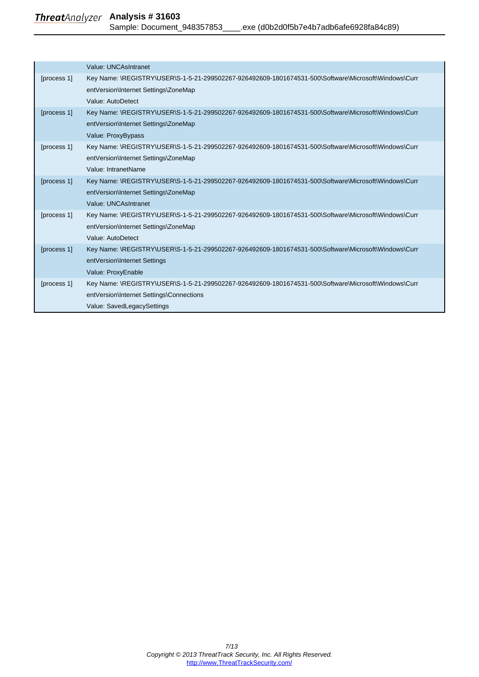## **Analysis # 31603** Sample: Document\_948357853\_\_\_\_.exe (d0b2d0f5b7e4b7adb6afe6928fa84c89)

|             | Value: UNCAsIntranet                                                                                 |
|-------------|------------------------------------------------------------------------------------------------------|
| [process 1] | Key Name: \REGISTRY\USER\S-1-5-21-299502267-926492609-1801674531-500\Software\Microsoft\Windows\Curr |
|             | entVersion\Internet Settings\ZoneMap                                                                 |
|             | Value: AutoDetect                                                                                    |
| [process 1] | Key Name: \REGISTRY\USER\S-1-5-21-299502267-926492609-1801674531-500\Software\Microsoft\Windows\Curr |
|             | entVersion\Internet Settings\ZoneMap                                                                 |
|             | Value: ProxyBypass                                                                                   |
| [process 1] | Key Name: \REGISTRY\USER\S-1-5-21-299502267-926492609-1801674531-500\Software\Microsoft\Windows\Curr |
|             | entVersion\Internet Settings\ZoneMap                                                                 |
|             | Value: IntranetName                                                                                  |
| [process 1] | Key Name: \REGISTRY\USER\S-1-5-21-299502267-926492609-1801674531-500\Software\Microsoft\Windows\Curr |
|             | entVersion\Internet Settings\ZoneMap                                                                 |
|             | Value: UNCAsIntranet                                                                                 |
| [process 1] | Key Name: \REGISTRY\USER\S-1-5-21-299502267-926492609-1801674531-500\Software\Microsoft\Windows\Curr |
|             | entVersion\Internet Settings\ZoneMap                                                                 |
|             | Value: AutoDetect                                                                                    |
| [process 1] | Key Name: \REGISTRY\USER\S-1-5-21-299502267-926492609-1801674531-500\Software\Microsoft\Windows\Curr |
|             | entVersion\Internet Settings                                                                         |
|             | Value: ProxyEnable                                                                                   |
| [process 1] | Key Name: \REGISTRY\USER\S-1-5-21-299502267-926492609-1801674531-500\Software\Microsoft\Windows\Curr |
|             | entVersion\Internet Settings\Connections                                                             |
|             | Value: SavedLegacySettings                                                                           |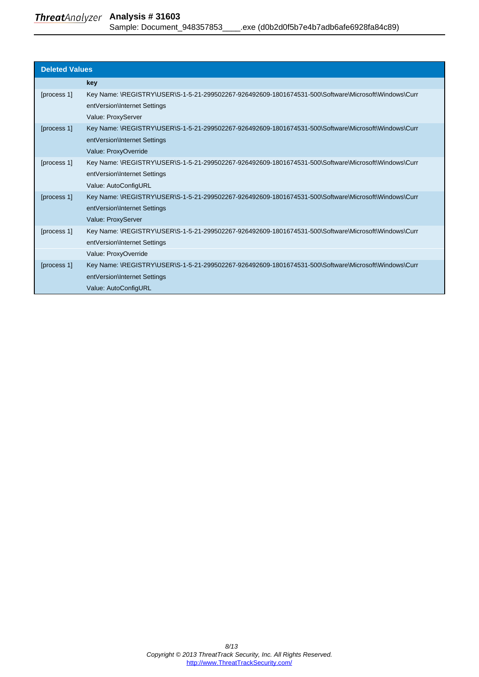<span id="page-7-0"></span>

| <b>Deleted Values</b> |                                                                                                                                                              |  |
|-----------------------|--------------------------------------------------------------------------------------------------------------------------------------------------------------|--|
|                       | key                                                                                                                                                          |  |
| [process 1]           | Key Name: \REGISTRY\USER\S-1-5-21-299502267-926492609-1801674531-500\Software\Microsoft\Windows\Curr<br>entVersion\Internet Settings<br>Value: ProxyServer   |  |
| [process 1]           | Key Name: \REGISTRY\USER\S-1-5-21-299502267-926492609-1801674531-500\Software\Microsoft\Windows\Curr<br>entVersion\Internet Settings<br>Value: ProxyOverride |  |
| [process 1]           | Key Name: \REGISTRY\USER\S-1-5-21-299502267-926492609-1801674531-500\Software\Microsoft\Windows\Curr<br>entVersion\Internet Settings<br>Value: AutoConfigURL |  |
| [process 1]           | Key Name: \REGISTRY\USER\S-1-5-21-299502267-926492609-1801674531-500\Software\Microsoft\Windows\Curr<br>entVersion\Internet Settings<br>Value: ProxyServer   |  |
| [process 1]           | Key Name: \REGISTRY\USER\S-1-5-21-299502267-926492609-1801674531-500\Software\Microsoft\Windows\Curr<br>entVersion\Internet Settings<br>Value: ProxyOverride |  |
| [process 1]           | Key Name: \REGISTRY\USER\S-1-5-21-299502267-926492609-1801674531-500\Software\Microsoft\Windows\Curr<br>entVersion\Internet Settings<br>Value: AutoConfigURL |  |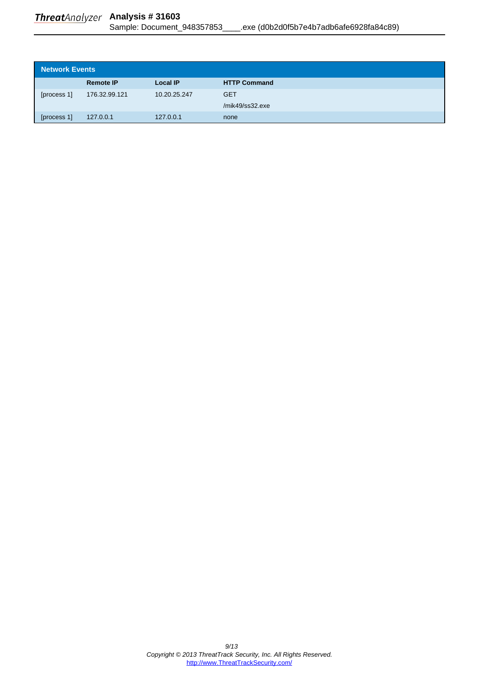<span id="page-8-0"></span>

| <b>Network Events</b> |                  |                 |                     |
|-----------------------|------------------|-----------------|---------------------|
|                       | <b>Remote IP</b> | <b>Local IP</b> | <b>HTTP Command</b> |
| [process 1]           | 176.32.99.121    | 10.20.25.247    | <b>GET</b>          |
|                       |                  |                 | /mik49/ss32.exe     |
| [process 1]           | 127.0.0.1        | 127.0.0.1       | none                |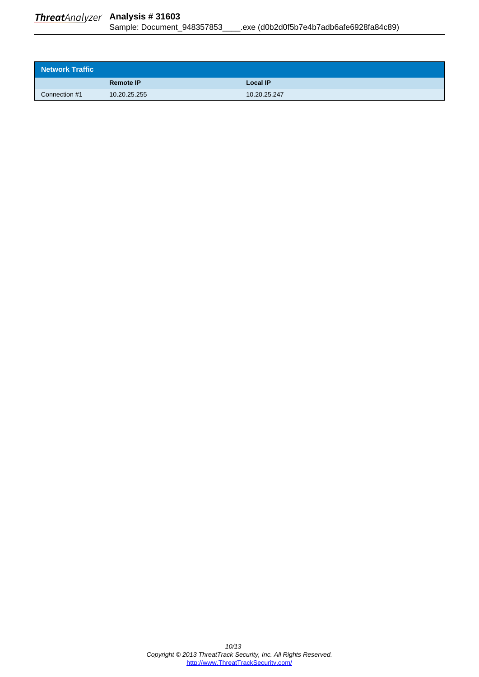<span id="page-9-0"></span>

|               | <b>Remote IP</b> | Local IP     |
|---------------|------------------|--------------|
| Connection #1 | 10.20.25.255     | 10.20.25.247 |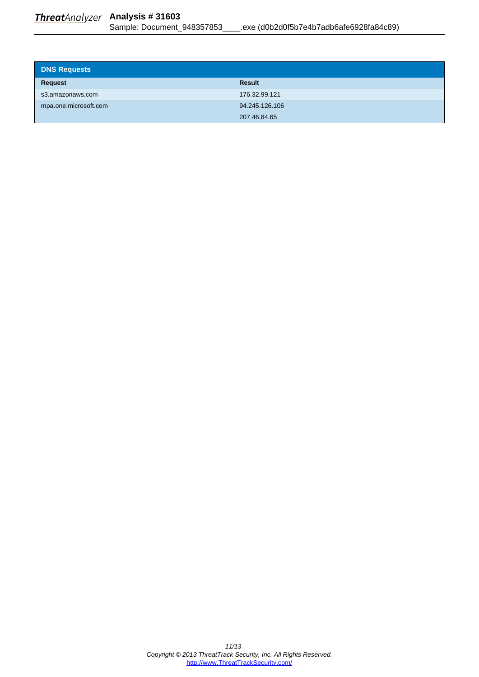<span id="page-10-0"></span>

| <b>DNS Requests</b>   |                |
|-----------------------|----------------|
| <b>Request</b>        | <b>Result</b>  |
| s3.amazonaws.com      | 176.32.99.121  |
| mpa.one.microsoft.com | 94.245.126.106 |
|                       | 207.46.84.65   |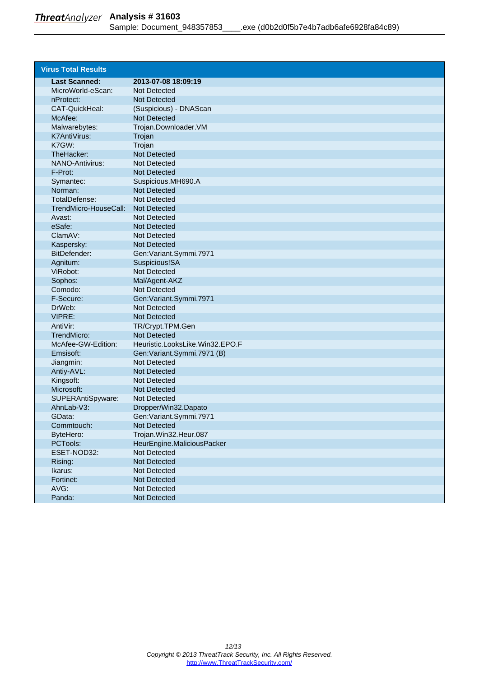<span id="page-11-0"></span>

| <b>Virus Total Results</b> |                                 |
|----------------------------|---------------------------------|
| <b>Last Scanned:</b>       | 2013-07-08 18:09:19             |
| MicroWorld-eScan:          | Not Detected                    |
| nProtect:                  | <b>Not Detected</b>             |
| CAT-QuickHeal:             | (Suspicious) - DNAScan          |
| McAfee:                    | <b>Not Detected</b>             |
| Malwarebytes:              | Trojan.Downloader.VM            |
| <b>K7AntiVirus:</b>        | Trojan                          |
| K7GW:                      | Trojan                          |
| TheHacker:                 | <b>Not Detected</b>             |
| <b>NANO-Antivirus:</b>     | Not Detected                    |
| F-Prot:                    | <b>Not Detected</b>             |
| Symantec:                  | Suspicious.MH690.A              |
| Norman:                    | <b>Not Detected</b>             |
| TotalDefense:              | Not Detected                    |
| TrendMicro-HouseCall:      | Not Detected                    |
| Avast:                     | Not Detected                    |
| eSafe:                     | <b>Not Detected</b>             |
| ClamAV:                    | Not Detected                    |
| Kaspersky:                 | <b>Not Detected</b>             |
| BitDefender:               | Gen: Variant.Symmi.7971         |
| Agnitum:                   | Suspicious!SA                   |
| ViRobot:                   | Not Detected                    |
| Sophos:                    | Mal/Agent-AKZ                   |
| Comodo:                    | Not Detected                    |
| F-Secure:                  | Gen: Variant.Symmi.7971         |
| DrWeb:                     | Not Detected                    |
| VIPRE:                     | <b>Not Detected</b>             |
| AntiVir:                   | TR/Crypt.TPM.Gen                |
| TrendMicro:                | <b>Not Detected</b>             |
| McAfee-GW-Edition:         | Heuristic.LooksLike.Win32.EPO.F |
| Emsisoft:                  | Gen: Variant. Symmi. 7971 (B)   |
| Jiangmin:                  | <b>Not Detected</b>             |
| Antiy-AVL:                 | <b>Not Detected</b>             |
| Kingsoft:                  | Not Detected                    |
| Microsoft:                 | <b>Not Detected</b>             |
| SUPERAntiSpyware:          | Not Detected                    |
| AhnLab-V3:                 | Dropper/Win32.Dapato            |
| GData:                     | Gen: Variant. Symmi. 7971       |
| Commtouch:                 | <b>Not Detected</b>             |
| ByteHero:                  | Trojan.Win32.Heur.087           |
| PCTools:                   | HeurEngine.MaliciousPacker      |
| ESET-NOD32:                | <b>Not Detected</b>             |
| Rising:                    | Not Detected                    |
| Ikarus:                    | Not Detected                    |
| Fortinet:                  | Not Detected                    |
| AVG:                       | Not Detected                    |
| Panda:                     | <b>Not Detected</b>             |